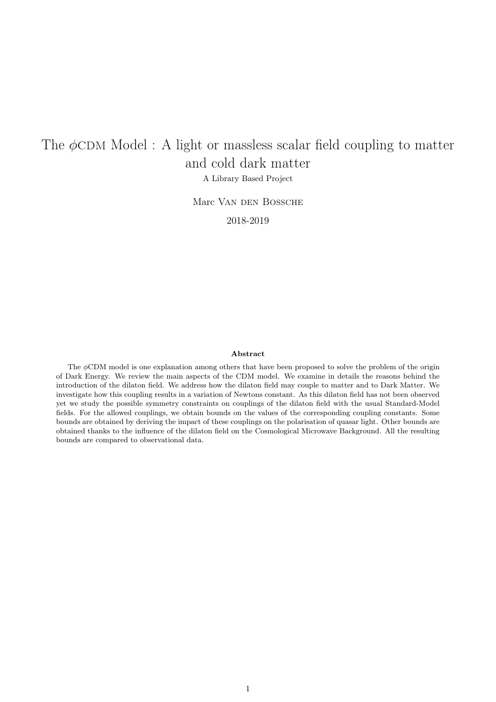## The  $\phi$ CDM Model : A light or massless scalar field coupling to matter and cold dark matter

A Library Based Project

Marc VAN DEN BOSSCHE

2018-2019

#### Abstract

The  $\phi$ CDM model is one explanation among others that have been proposed to solve the problem of the origin of Dark Energy. We review the main aspects of the CDM model. We examine in details the reasons behind the introduction of the dilaton field. We address how the dilaton field may couple to matter and to Dark Matter. We investigate how this coupling results in a variation of Newtons constant. As this dilaton field has not been observed yet we study the possible symmetry constraints on couplings of the dilaton field with the usual Standard-Model fields. For the allowed couplings, we obtain bounds on the values of the corresponding coupling constants. Some bounds are obtained by deriving the impact of these couplings on the polarisation of quasar light. Other bounds are obtained thanks to the influence of the dilaton field on the Cosmological Microwave Background. All the resulting bounds are compared to observational data.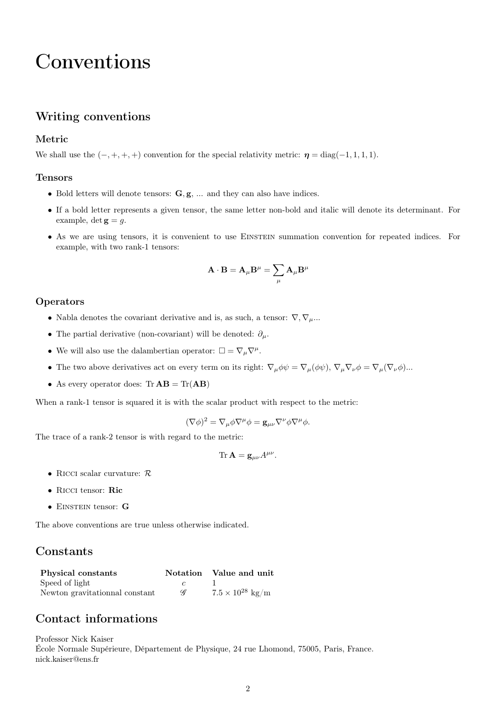### Conventions

#### Writing conventions

#### Metric

We shall use the  $(-, +, +, +)$  convention for the special relativity metric:  $\eta = \text{diag}(-1, 1, 1, 1)$ .

#### Tensors

- *•* Bold letters will denote tensors: **G***,* **g**, ... and they can also have indices.
- If a bold letter represents a given tensor, the same letter non-bold and italic will denote its determinant. For example,  $\det \mathbf{g} = g$ .
- As we are using tensors, it is convenient to use EINSTEIN summation convention for repeated indices. For example, with two rank-1 tensors:

$$
\mathbf{A} \cdot \mathbf{B} = \mathbf{A}_{\mu} \mathbf{B}^{\mu} = \sum_{\mu} \mathbf{A}_{\mu} \mathbf{B}^{\mu}
$$

#### Operators

- *•* Nabla denotes the covariant derivative and is, as such, a tensor: *∇, ∇µ*...
- *•* The partial derivative (non-covariant) will be denoted: *∂µ*.
- We will also use the dalambertian operator:  $\square = \nabla_{\mu} \nabla^{\mu}$ .
- The two above derivatives act on every term on its right:  $\nabla_{\mu}\phi\psi = \nabla_{\mu}(\phi\psi)$ ,  $\nabla_{\mu}\nabla_{\nu}\phi = \nabla_{\mu}(\nabla_{\nu}\phi)$ ...
- *•* As every operator does: Tr **AB** = Tr(**AB**)

When a rank-1 tensor is squared it is with the scalar product with respect to the metric:

 $(\nabla \phi)^2 = \nabla_\mu \phi \nabla^\mu \phi = \mathbf{g}_{\mu\nu} \nabla^\nu \phi \nabla^\mu \phi.$ 

The trace of a rank-2 tensor is with regard to the metric:

$$
\mathrm{Tr}\,\mathbf{A}=\mathbf{g}_{\mu\nu}A^{\mu\nu}.
$$

- *•* Ricci scalar curvature: *<sup>R</sup>*
- *•* Ricci tensor: **Ric**
- *•* Einstein tensor: **<sup>G</sup>**

The above conventions are true unless otherwise indicated.

#### Constants

| Physical constants             |   | Notation Value and unit           |
|--------------------------------|---|-----------------------------------|
| Speed of light                 |   |                                   |
| Newton gravitationnal constant | Ą | $7.5 \times 10^{28} \text{ kg/m}$ |

#### Contact informations

Professor Nick Kaiser École Normale Supérieure, Département de Physique, 24 rue Lhomond, 75005, Paris, France. nick.kaiser@ens.fr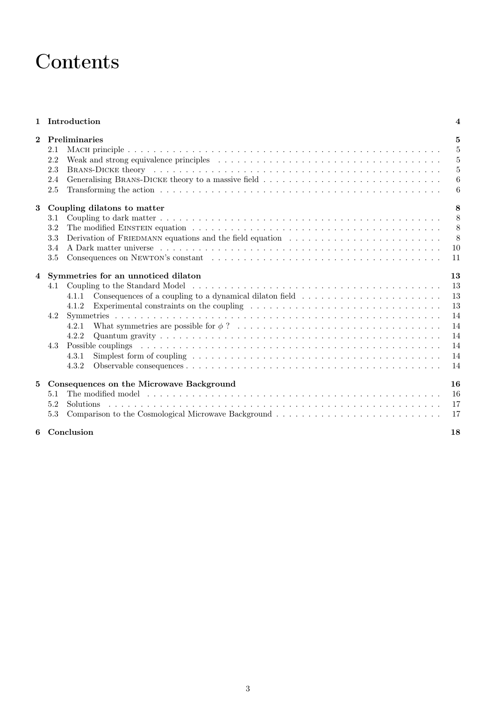## **Contents**

#### 1 Introduction 4

| 2.2<br>2.3<br>2.4<br>2.5                                                                                                                                                                                                                                                                                                                                                                                                                                                                                                                                                                                                                                                                                                                                                     | 5<br>$\overline{5}$<br>5<br>$6\phantom{.}6$<br>6         |
|------------------------------------------------------------------------------------------------------------------------------------------------------------------------------------------------------------------------------------------------------------------------------------------------------------------------------------------------------------------------------------------------------------------------------------------------------------------------------------------------------------------------------------------------------------------------------------------------------------------------------------------------------------------------------------------------------------------------------------------------------------------------------|----------------------------------------------------------|
| Coupling dilatons to matter<br>3.1<br>3.2<br>Derivation of FRIEDMANN equations and the field equation<br>3.3<br>3.4<br>$3.5\,$                                                                                                                                                                                                                                                                                                                                                                                                                                                                                                                                                                                                                                               | 8<br>8<br>8<br>8<br>10<br>11                             |
| Symmetries for an unnoticed dilaton<br>4.1<br>Consequences of a coupling to a dynamical dilaton field<br>4.1.1<br>Experimental constraints on the coupling resolution of the coupling resolution of the coupling resolution of the coupling resolution of the coupling resolution of the coupling resolution of the coupling resolution of the c<br>4.1.2<br>4.2<br>4.2.1<br>4.2.2<br>Possible couplings respectively and the contract of the coupling of the couplings respectively and the contract of the contract of the contract of the contract of the contract of the contract of the contract of the contrac<br>4.3<br>4.3.1<br>Simplest form of coupling $\dots \dots \dots \dots \dots \dots \dots \dots \dots \dots \dots \dots \dots \dots \dots \dots$<br>4.3.2 | 13<br>13<br>13<br>13<br>14<br>14<br>14<br>14<br>14<br>14 |
| Consequences on the Microwave Background<br>5.1<br>5.2<br><b>Solutions</b><br>5.3                                                                                                                                                                                                                                                                                                                                                                                                                                                                                                                                                                                                                                                                                            | 16<br>16<br>17<br>17<br>18                               |
|                                                                                                                                                                                                                                                                                                                                                                                                                                                                                                                                                                                                                                                                                                                                                                              | 6 Conclusion                                             |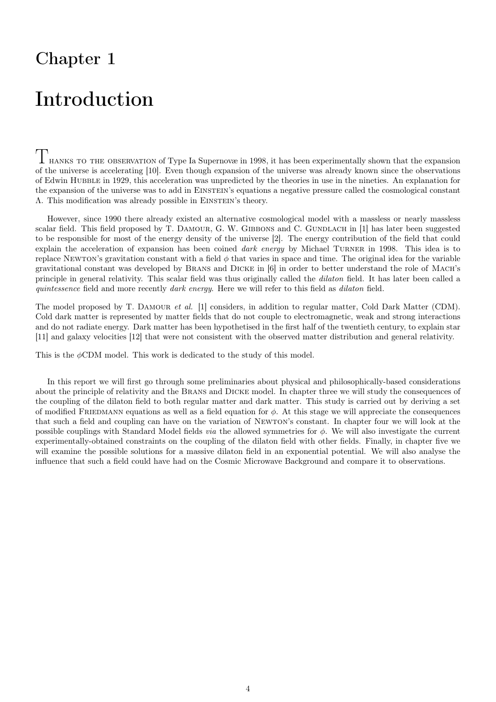## Introduction

 $T_{\text{HANKS}}$  to the observation of Type Ia Supernovæ in 1998, it has been experimentally shown that the expansion of the universe is accelerating [10]. Even though expansion of the universe was already known since the observations of Edwin Hubble in 1929, this acceleration was unpredicted by the theories in use in the nineties. An explanation for the expansion of the universe was to add in EINSTEIN's equations a negative pressure called the cosmological constant Λ. This modification was already possible in Einstein's theory.

However, since 1990 there already existed an alternative cosmological model with a massless or nearly massless scalar field. This field proposed by T. DAMOUR, G. W. GIBBONS and C. GUNDLACH in [1] has later been suggested to be responsible for most of the energy density of the universe [2]. The energy contribution of the field that could explain the acceleration of expansion has been coined *dark energy* by Michael Turner in 1998. This idea is to replace Newton's gravitation constant with a field  $\phi$  that varies in space and time. The original idea for the variable gravitational constant was developed by Brans and Dicke in [6] in order to better understand the role of Mach's principle in general relativity. This scalar field was thus originally called the *dilaton* field. It has later been called a *quintessence* field and more recently *dark energy*. Here we will refer to this field as *dilaton* field.

The model proposed by T. Damour *et al.* [1] considers, in addition to regular matter, Cold Dark Matter (CDM). Cold dark matter is represented by matter fields that do not couple to electromagnetic, weak and strong interactions and do not radiate energy. Dark matter has been hypothetised in the first half of the twentieth century, to explain star [11] and galaxy velocities [12] that were not consistent with the observed matter distribution and general relativity.

This is the *ϕ*CDM model. This work is dedicated to the study of this model.

In this report we will first go through some preliminaries about physical and philosophically-based considerations about the principle of relativity and the Brans and Dicke model. In chapter three we will study the consequences of the coupling of the dilaton field to both regular matter and dark matter. This study is carried out by deriving a set of modified FRIEDMANN equations as well as a field equation for  $\phi$ . At this stage we will appreciate the consequences that such a field and coupling can have on the variation of Newton's constant. In chapter four we will look at the possible couplings with Standard Model fields *via* the allowed symmetries for *ϕ*. We will also investigate the current experimentally-obtained constraints on the coupling of the dilaton field with other fields. Finally, in chapter five we will examine the possible solutions for a massive dilaton field in an exponential potential. We will also analyse the influence that such a field could have had on the Cosmic Microwave Background and compare it to observations.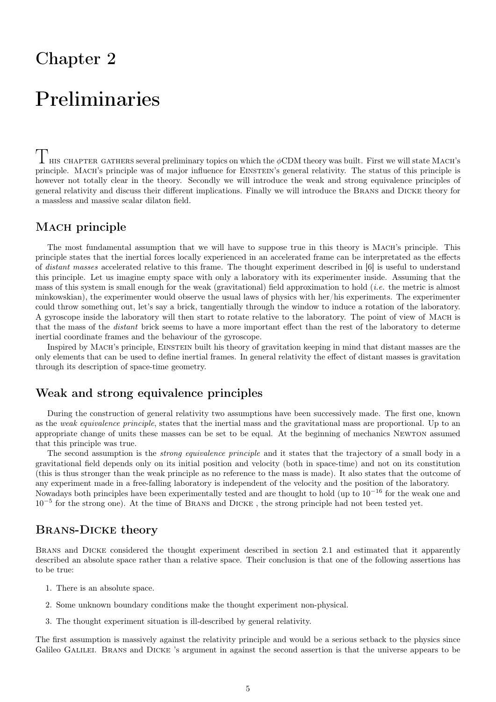## Preliminaries

 $\Gamma$  HIS CHAPTER GATHERS several preliminary topics on which the  $\phi$ CDM theory was built. First we will state MACH's principle. Mach's principle was of major influence for Einstein's general relativity. The status of this principle is however not totally clear in the theory. Secondly we will introduce the weak and strong equivalence principles of general relativity and discuss their different implications. Finally we will introduce the Brans and Dicke theory for a massless and massive scalar dilaton field.

### MACH principle

The most fundamental assumption that we will have to suppose true in this theory is Mach's principle. This principle states that the inertial forces locally experienced in an accelerated frame can be interpretated as the effects of *distant masses* accelerated relative to this frame. The thought experiment described in [6] is useful to understand this principle. Let us imagine empty space with only a laboratory with its experimenter inside. Assuming that the mass of this system is small enough for the weak (gravitational) field approximation to hold (*i.e.* the metric is almost minkowskian), the experimenter would observe the usual laws of physics with her/his experiments. The experimenter could throw something out, let's say a brick, tangentially through the window to induce a rotation of the laboratory. A gyroscope inside the laboratory will then start to rotate relative to the laboratory. The point of view of Mach is that the mass of the *distant* brick seems to have a more important effect than the rest of the laboratory to determe inertial coordinate frames and the behaviour of the gyroscope.

Inspired by MACH's principle, EINSTEIN built his theory of gravitation keeping in mind that distant masses are the only elements that can be used to define inertial frames. In general relativity the effect of distant masses is gravitation through its description of space-time geometry.

#### Weak and strong equivalence principles

During the construction of general relativity two assumptions have been successively made. The first one, known as the *weak equivalence principle*, states that the inertial mass and the gravitational mass are proportional. Up to an appropriate change of units these masses can be set to be equal. At the beginning of mechanics Newton assumed that this principle was true.

The second assumption is the *strong equivalence principle* and it states that the trajectory of a small body in a gravitational field depends only on its initial position and velocity (both in space-time) and not on its constitution (this is thus stronger than the weak principle as no reference to the mass is made). It also states that the outcome of any experiment made in a free-falling laboratory is independent of the velocity and the position of the laboratory. Nowadays both principles have been experimentally tested and are thought to hold (up to 10*−*<sup>16</sup> for the weak one and 10*−*<sup>5</sup> for the strong one). At the time of Brans and Dicke , the strong principle had not been tested yet.

#### Brans-Dicke theory

Brans and Dicke considered the thought experiment described in section 2.1 and estimated that it apparently described an absolute space rather than a relative space. Their conclusion is that one of the following assertions has to be true:

- 1. There is an absolute space.
- 2. Some unknown boundary conditions make the thought experiment non-physical.
- 3. The thought experiment situation is ill-described by general relativity.

The first assumption is massively against the relativity principle and would be a serious setback to the physics since Galileo GALILEI. BRANS and DICKE 's argument in against the second assertion is that the universe appears to be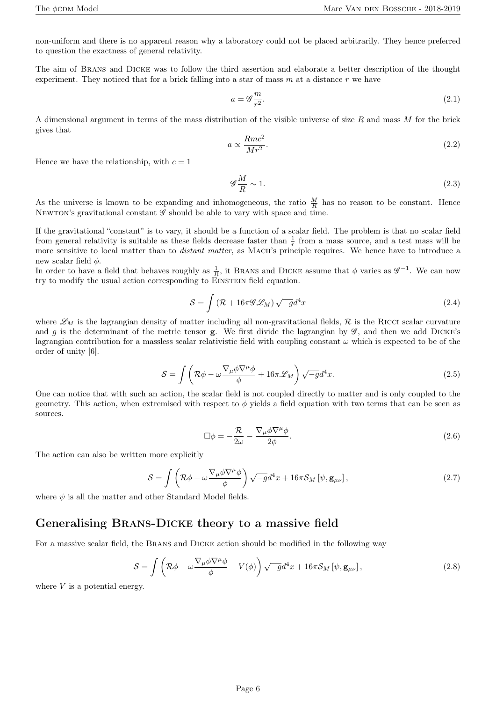non-uniform and there is no apparent reason why a laboratory could not be placed arbitrarily. They hence preferred to question the exactness of general relativity.

The aim of Brans and Dicke was to follow the third assertion and elaborate a better description of the thought experiment. They noticed that for a brick falling into a star of mass  $m$  at a distance  $r$  we have

$$
a = \mathscr{G}\frac{m}{r^2}.\tag{2.1}
$$

A dimensional argument in terms of the mass distribution of the visible universe of size *R* and mass *M* for the brick gives that

$$
a \propto \frac{Rmc^2}{Mr^2}.\tag{2.2}
$$

Hence we have the relationship, with  $c = 1$ 

$$
\mathcal{G}\frac{M}{R} \sim 1.\tag{2.3}
$$

As the universe is known to be expanding and inhomogeneous, the ratio  $\frac{M}{R}$  has no reason to be constant. Hence Newton's gravitational constant *G* should be able to vary with space and time.

If the gravitational "constant" is to vary, it should be a function of a scalar field. The problem is that no scalar field from general relativity is suitable as these fields decrease faster than  $\frac{1}{r}$  from a mass source, and a test mass will be more sensitive to local matter than to *distant matter*, as MACH's principle requires. We hence have to introduce a new scalar field *ϕ*.

In order to have a field that behaves roughly as  $\frac{1}{R}$ , it BRANS and DICKE assume that  $\phi$  varies as  $\mathscr{G}^{-1}$ . We can now try to modify the usual action corresponding to EINSTEIN field equation.

$$
S = \int \left( \mathcal{R} + 16\pi \mathcal{G} \mathcal{L}_M \right) \sqrt{-g} d^4 x \tag{2.4}
$$

where  $\mathscr{L}_M$  is the lagrangian density of matter including all non-gravitational fields,  $\mathcal R$  is the RICCI scalar curvature and  $g$  is the determinant of the metric tensor **g**. We first divide the lagrangian by  $\mathscr{G}$ , and then we add DICKE's lagrangian contribution for a massless scalar relativistic field with coupling constant *ω* which is expected to be of the order of unity [6].

$$
S = \int \left( \mathcal{R}\phi - \omega \frac{\nabla_{\mu}\phi \nabla^{\mu}\phi}{\phi} + 16\pi \mathcal{L}_M \right) \sqrt{-g} d^4 x. \tag{2.5}
$$

One can notice that with such an action, the scalar field is not coupled directly to matter and is only coupled to the geometry. This action, when extremised with respect to *ϕ* yields a field equation with two terms that can be seen as sources.

$$
\Box \phi = -\frac{\mathcal{R}}{2\omega} - \frac{\nabla_{\mu} \phi \nabla^{\mu} \phi}{2\phi}.
$$
\n(2.6)

The action can also be written more explicitly

$$
S = \int \left( \mathcal{R}\phi - \omega \frac{\nabla_{\mu}\phi \nabla^{\mu}\phi}{\phi} \right) \sqrt{-g} d^{4}x + 16\pi \mathcal{S}_{M} \left[ \psi, \mathbf{g}_{\mu\nu} \right], \tag{2.7}
$$

where  $\psi$  is all the matter and other Standard Model fields.

#### Generalising Brans-Dicke theory to a massive field

For a massive scalar field, the Brans and Dicke action should be modified in the following way

$$
S = \int \left( \mathcal{R}\phi - \omega \frac{\nabla_{\mu}\phi \nabla^{\mu}\phi}{\phi} - V(\phi) \right) \sqrt{-g}d^{4}x + 16\pi \mathcal{S}_{M} \left[ \psi, \mathbf{g}_{\mu\nu} \right], \tag{2.8}
$$

where *V* is a potential energy.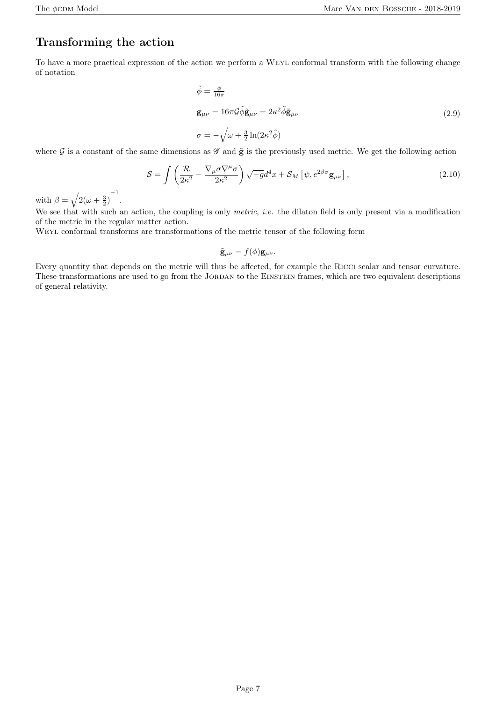### Transforming the action

To have a more practical expression of the action we perform a Weyl conformal transform with the following change of notation

$$
\tilde{\phi} = \frac{\phi}{16\pi}
$$
\n
$$
\mathbf{g}_{\mu\nu} = 16\pi \mathcal{G} \tilde{\phi} \tilde{\mathbf{g}}_{\mu\nu} = 2\kappa^2 \tilde{\phi} \tilde{\mathbf{g}}_{\mu\nu} \tag{2.9}
$$
\n
$$
\sigma = -\sqrt{\omega + \frac{3}{2}} \ln(2\kappa^2 \tilde{\phi})
$$

where  $\mathcal G$  is a constant of the same dimensions as  $\mathcal G$  and  $\tilde{\mathbf g}$  is the previously used metric. We get the following action

$$
S = \int \left( \frac{\mathcal{R}}{2\kappa^2} - \frac{\nabla_{\mu} \sigma \nabla^{\mu} \sigma}{2\kappa^2} \right) \sqrt{-g} d^4 x + \mathcal{S}_M \left[ \psi, e^{2\beta \sigma} \mathbf{g}_{\mu \nu} \right], \tag{2.10}
$$

with  $\beta = \sqrt{2(\omega + \frac{3}{2})}^{-1}$ .

We see that with such an action, the coupling is only *metric*, *i.e.* the dilaton field is only present via a modification of the metric in the regular matter action.

Weyl conformal transforms are transformations of the metric tensor of the following form

$$
\tilde{\mathbf{g}}_{\mu\nu} = f(\phi) \mathbf{g}_{\mu\nu}.
$$

Every quantity that depends on the metric will thus be affected, for example the Ricci scalar and tensor curvature. These transformations are used to go from the JORDAN to the EINSTEIN frames, which are two equivalent descriptions of general relativity.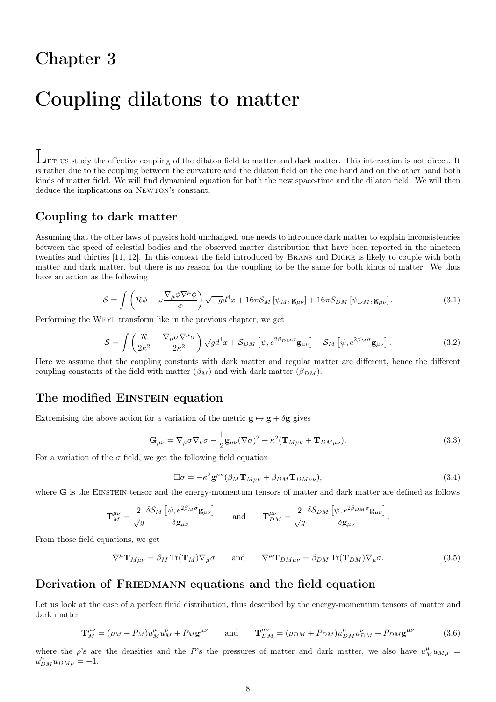## Coupling dilatons to matter

LET US study the effective coupling of the dilaton field to matter and dark matter. This interaction is not direct. It is rather due to the coupling between the curvature and the dilaton field on the one hand and on the other hand both kinds of matter field. We will find dynamical equation for both the new space-time and the dilaton field. We will then deduce the implications on NEWTON's constant.

#### Coupling to dark matter

Assuming that the other laws of physics hold unchanged, one needs to introduce dark matter to explain inconsistencies between the speed of celestial bodies and the observed matter distribution that have been reported in the nineteen twenties and thirties [11, 12]. In this context the field introduced by Brans and Dicke is likely to couple with both matter and dark matter, but there is no reason for the coupling to be the same for both kinds of matter. We thus have an action as the following

$$
S = \int \left( \mathcal{R}\phi - \omega \frac{\nabla_{\mu}\phi \nabla^{\mu}\phi}{\phi} \right) \sqrt{-g} d^{4}x + 16\pi \mathcal{S}_{M} \left[ \psi_{M}, \mathbf{g}_{\mu\nu} \right] + 16\pi \mathcal{S}_{DM} \left[ \psi_{DM}, \mathbf{g}_{\mu\nu} \right]. \tag{3.1}
$$

Performing the Weyl transform like in the previous chapter, we get

$$
S = \int \left( \frac{\mathcal{R}}{2\kappa^2} - \frac{\nabla_{\mu} \sigma \nabla^{\mu} \sigma}{2\kappa^2} \right) \sqrt{g} d^4 x + S_{DM} \left[ \psi, e^{2\beta_{DM} \sigma} \mathbf{g}_{\mu\nu} \right] + S_M \left[ \psi, e^{2\beta_M \sigma} \mathbf{g}_{\mu\nu} \right]. \tag{3.2}
$$

Here we assume that the coupling constants with dark matter and regular matter are different, hence the different coupling constants of the field with matter  $(\beta_M)$  and with dark matter  $(\beta_{DM})$ .

#### The modified EINSTEIN equation

Extremising the above action for a variation of the metric  $\mathbf{g} \mapsto \mathbf{g} + \delta \mathbf{g}$  gives

$$
\mathbf{G}_{\mu\nu} = \nabla_{\mu}\sigma\nabla_{\nu}\sigma - \frac{1}{2}\mathbf{g}_{\mu\nu}(\nabla\sigma)^2 + \kappa^2(\mathbf{T}_{M\mu\nu} + \mathbf{T}_{DM\mu\nu}).
$$
\n(3.3)

For a variation of the  $\sigma$  field, we get the following field equation

$$
\Box \sigma = -\kappa^2 \mathbf{g}^{\mu\nu} (\beta_M \mathbf{T}_{M\mu\nu} + \beta_{DM} \mathbf{T}_{DM\mu\nu}), \tag{3.4}
$$

where **G** is the EINSTEIN tensor and the energy-momentum tensors of matter and dark matter are defined as follows

$$
\mathbf{T}^{\mu\nu}_M = \frac{2}{\sqrt{g}} \frac{\delta \mathcal{S}_M \left[ \psi, e^{2\beta_M \sigma} \mathbf{g}_{\mu\nu} \right]}{\delta \mathbf{g}_{\mu\nu}} \quad \text{and} \quad \mathbf{T}^{\mu\nu}_{DM} = \frac{2}{\sqrt{g}} \frac{\delta \mathcal{S}_{DM} \left[ \psi, e^{2\beta_{DM} \sigma} \mathbf{g}_{\mu\nu} \right]}{\delta \mathbf{g}_{\mu\nu}}.
$$

From those field equations, we get

$$
\nabla^{\mu} \mathbf{T}_{M\mu\nu} = \beta_M \operatorname{Tr}(\mathbf{T}_M) \nabla_{\mu} \sigma \quad \text{and} \quad \nabla^{\mu} \mathbf{T}_{DM\mu\nu} = \beta_{DM} \operatorname{Tr}(\mathbf{T}_{DM}) \nabla_{\mu} \sigma. \tag{3.5}
$$

#### Derivation of FRIEDMANN equations and the field equation

Let us look at the case of a perfect fluid distribution, thus described by the energy-momentum tensors of matter and dark matter

$$
\mathbf{T}_{M}^{\mu\nu} = (\rho_{M} + P_{M})u_{M}^{\mu}u_{M}^{\nu} + P_{M}\mathbf{g}^{\mu\nu} \quad \text{and} \quad \mathbf{T}_{DM}^{\mu\nu} = (\rho_{DM} + P_{DM})u_{DM}^{\mu}u_{DM}^{\nu} + P_{DM}\mathbf{g}^{\mu\nu} \quad (3.6)
$$

where the *ρ*'s are the densities and the *P*'s the pressures of matter and dark matter, we also have  $u_M^{\mu}u_{M\mu}$  $u_{DM}^{\mu}u_{DM\mu} = -1.$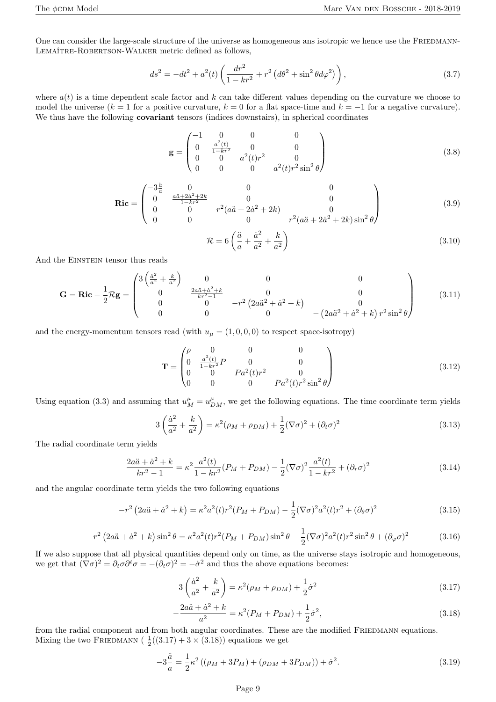One can consider the large-scale structure of the universe as homogeneous ans isotropic we hence use the FRIEDMANN-Lemaître-Robertson-Walker metric defined as follows,

$$
ds^{2} = -dt^{2} + a^{2}(t) \left( \frac{dr^{2}}{1 - kr^{2}} + r^{2} \left( d\theta^{2} + \sin^{2} \theta d\varphi^{2} \right) \right),
$$
\n(3.7)

where *a*(*t*) is a time dependent scale factor and *k* can take different values depending on the curvature we choose to model the universe ( $k = 1$  for a positive curvature,  $k = 0$  for a flat space-time and  $k = -1$  for a negative curvature). We thus have the following **covariant** tensors (indices downstairs), in spherical coordinates

$$
\mathbf{g} = \begin{pmatrix} -1 & 0 & 0 & 0 \\ 0 & \frac{a^2(t)}{1 - kr^2} & 0 & 0 \\ 0 & 0 & a^2(t)r^2 & 0 \\ 0 & 0 & 0 & a^2(t)r^2\sin^2\theta \end{pmatrix}
$$
(3.8)

$$
\mathbf{Ric} = \begin{pmatrix} -3\frac{\ddot{a}}{a} & 0 & 0 & 0\\ 0 & \frac{a\ddot{a} + 2\dot{a}^2 + 2k}{1 - kr^2} & 0 & 0\\ 0 & 0 & r^2(a\ddot{a} + 2\dot{a}^2 + 2k) & 0\\ 0 & 0 & 0 & r^2(a\ddot{a} + 2\dot{a}^2 + 2k)\sin^2\theta \end{pmatrix}
$$
(3.9)

$$
\mathcal{R} = 6\left(\frac{\ddot{a}}{a} + \frac{\dot{a}^2}{a^2} + \frac{k}{a^2}\right) \tag{3.10}
$$

And the EINSTEIN tensor thus reads

$$
\mathbf{G} = \mathbf{Ric} - \frac{1}{2}\mathcal{R}\mathbf{g} = \begin{pmatrix} 3\left(\frac{\dot{a}^2}{a^2} + \frac{k}{a^2}\right) & 0 & 0 & 0\\ 0 & \frac{2a\ddot{a} + \dot{a}^2 + k}{kr^2 - 1} & 0 & 0\\ 0 & 0 & -r^2\left(2a\ddot{a}^2 + \dot{a}^2 + k\right) & 0\\ 0 & 0 & 0 & -(2a\ddot{a}^2 + \dot{a}^2 + k)r^2\sin^2\theta \end{pmatrix}
$$
(3.11)

and the energy-momentum tensors read (with  $u_{\mu} = (1, 0, 0, 0)$  to respect space-isotropy)

$$
\mathbf{T} = \begin{pmatrix} \rho & 0 & 0 & 0 \\ 0 & \frac{a^2(t)}{1 - kr^2} P & 0 & 0 \\ 0 & 0 & Pa^2(t)r^2 & 0 \\ 0 & 0 & 0 & Pa^2(t)r^2 \sin^2 \theta \end{pmatrix}
$$
(3.12)

Using equation (3.3) and assuming that  $u_M^{\mu} = u_{DM}^{\mu}$ , we get the following equations. The time coordinate term yields

$$
3\left(\frac{\dot{a}^2}{a^2} + \frac{k}{a^2}\right) = \kappa^2(\rho_M + \rho_{DM}) + \frac{1}{2}(\nabla\sigma)^2 + (\partial_t\sigma)^2
$$
\n(3.13)

The radial coordinate term yields

$$
\frac{2a\ddot{a} + \dot{a}^2 + k}{kr^2 - 1} = \kappa^2 \frac{a^2(t)}{1 - kr^2} (P_M + P_{DM}) - \frac{1}{2} (\nabla \sigma)^2 \frac{a^2(t)}{1 - kr^2} + (\partial_r \sigma)^2
$$
\n(3.14)

and the angular coordinate term yields the two following equations

$$
-r^2\left(2a\ddot{a}+\dot{a}^2+k\right) = \kappa^2 a^2(t)r^2(P_M+P_{DM}) - \frac{1}{2}(\nabla\sigma)^2 a^2(t)r^2 + (\partial_\theta\sigma)^2\tag{3.15}
$$

$$
-r^2 \left(2a\ddot{a} + \dot{a}^2 + k\right) \sin^2 \theta = \kappa^2 a^2(t) r^2 (P_M + P_{DM}) \sin^2 \theta - \frac{1}{2} (\nabla \sigma)^2 a^2(t) r^2 \sin^2 \theta + (\partial_\varphi \sigma)^2 \tag{3.16}
$$

If we also suppose that all physical quantities depend only on time, as the universe stays isotropic and homogeneous, we get that  $(\nabla \sigma)^2 = \partial_t \sigma \partial^t \sigma = -(\partial_t \sigma)^2 = -\dot{\sigma}^2$  and thus the above equations becomes:

$$
3\left(\frac{\dot{a}^2}{a^2} + \frac{k}{a^2}\right) = \kappa^2(\rho_M + \rho_{DM}) + \frac{1}{2}\dot{\sigma}^2
$$
\n(3.17)

$$
-\frac{2a\ddot{a}+\dot{a}^2+k}{a^2} = \kappa^2(P_M+P_{DM})+\frac{1}{2}\dot{\sigma}^2,
$$
\n(3.18)

from the radial component and from both angular coordinates. These are the modified FRIEDMANN equations. Mixing the two FRIEDMANN ( $\frac{1}{2}((3.17) + 3 \times (3.18))$  equations we get

$$
-3\frac{\ddot{a}}{a} = \frac{1}{2}\kappa^2\left((\rho_M + 3P_M) + (\rho_{DM} + 3P_{DM})\right) + \dot{\sigma}^2.
$$
 (3.19)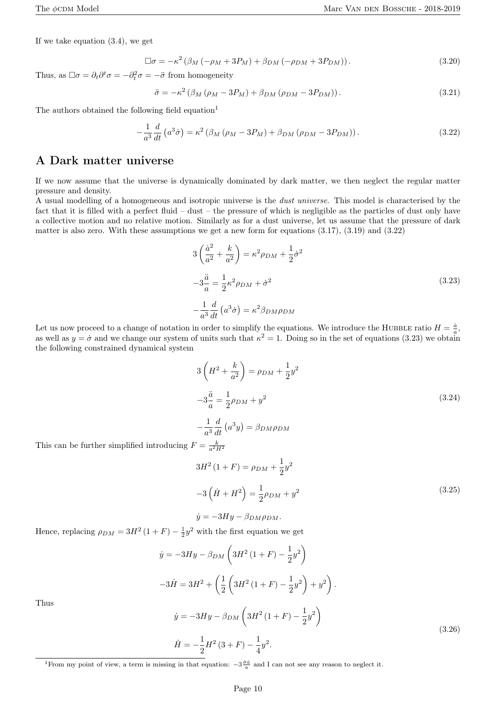If we take equation (3.4), we get

$$
\Box \sigma = -\kappa^2 \left( \beta_M \left( -\rho_M + 3P_M \right) + \beta_{DM} \left( -\rho_{DM} + 3P_{DM} \right) \right). \tag{3.20}
$$

Thus, as  $\Box \sigma = \partial_t \partial^t \sigma = -\partial_t^2 \sigma = -\ddot{\sigma}$  from homogeneity

$$
\ddot{\sigma} = -\kappa^2 \left( \beta_M \left( \rho_M - 3P_M \right) + \beta_{DM} \left( \rho_{DM} - 3P_{DM} \right) \right). \tag{3.21}
$$

The authors obtained the following field equation<sup>1</sup>

$$
-\frac{1}{a^3}\frac{d}{dt}\left(a^3\dot{\sigma}\right) = \kappa^2\left(\beta_M\left(\rho_M - 3P_M\right) + \beta_{DM}\left(\rho_{DM} - 3P_{DM}\right)\right). \tag{3.22}
$$

#### A Dark matter universe

If we now assume that the universe is dynamically dominated by dark matter, we then neglect the regular matter pressure and density.

A usual modelling of a homogeneous and isotropic universe is the *dust universe*. This model is characterised by the fact that it is filled with a perfect fluid – dust – the pressure of which is negligible as the particles of dust only have a collective motion and no relative motion. Similarly as for a dust universe, let us assume that the pressure of dark matter is also zero. With these assumptions we get a new form for equations  $(3.17)$ ,  $(3.19)$  and  $(3.22)$ 

$$
3\left(\frac{\dot{a}^2}{a^2} + \frac{k}{a^2}\right) = \kappa^2 \rho_{DM} + \frac{1}{2}\dot{\sigma}^2
$$
  

$$
-3\frac{\ddot{a}}{a} = \frac{1}{2}\kappa^2 \rho_{DM} + \dot{\sigma}^2
$$
  

$$
-\frac{1}{a^3}\frac{d}{dt}\left(a^3\dot{\sigma}\right) = \kappa^2 \beta_{DM}\rho_{DM}
$$
 (3.23)

Let us now proceed to a change of notation in order to simplify the equations. We introduce the HUBBLE ratio  $H = \frac{\dot{a}}{a}$ , as well as  $y = \dot{\sigma}$  and we change our system of units such that  $\kappa^2 = 1$ . Doing so in the set of equations (3.23) we obtain the following constrained dynamical system

$$
3\left(H^{2} + \frac{k}{a^{2}}\right) = \rho_{DM} + \frac{1}{2}y^{2}
$$
  

$$
-3\frac{\ddot{a}}{a} = \frac{1}{2}\rho_{DM} + y^{2}
$$
 (3.24)

$$
-\frac{1}{a^3}\frac{a}{dt}\left(a^3y\right) = \beta_{DM}\rho_{DM}
$$
 This can be further simplified introducing 
$$
F = \frac{k}{a^2H^2}
$$

$$
3H^2 (1 + F) = \rho_{DM} + \frac{1}{2} y^2
$$
  

$$
-3(\dot{H} + H^2) = \frac{1}{2} \rho_{DM} + y^2
$$
 (3.25)

$$
\dot{y} = -3Hy - \beta_{DM}\rho_{DM}.
$$

Hence, replacing  $\rho_{DM} = 3H^2(1 + F) - \frac{1}{2}y^2$  with the first equation we get

$$
\dot{y} = -3Hy - \beta_{DM} \left( 3H^2 (1 + F) - \frac{1}{2}y^2 \right)
$$
  

$$
-3\dot{H} = 3H^2 + \left( \frac{1}{2} \left( 3H^2 (1 + F) - \frac{1}{2}y^2 \right) + y^2 \right).
$$
  

$$
\dot{y} = -3Hy - \beta_{DM} \left( 3H^2 (1 + F) - \frac{1}{2}y^2 \right)
$$
  

$$
\dot{H} = -\frac{1}{2}H^2 (3 + F) - \frac{1}{4}y^2.
$$
 (3.26)

Thus

<sup>1</sup> From my point of view, a term is missing in that equation: 
$$
-3\frac{\dot{\sigma}\dot{a}}{a}
$$
 and I can not see any reason to neglect it.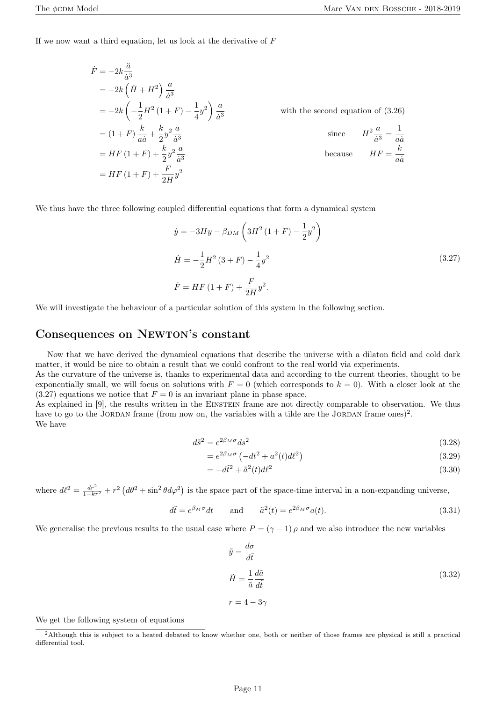If we now want a third equation, let us look at the derivative of *F*

$$
\dot{F} = -2k \frac{\ddot{a}}{\dot{a}^3}
$$
  
=  $-2k \left(\dot{H} + H^2\right) \frac{a}{\dot{a}^3}$   
=  $-2k \left(-\frac{1}{2}H^2(1+F) - \frac{1}{4}y^2\right) \frac{a}{\dot{a}^3}$  with the second equation of (3.26)  
=  $(1+F) \frac{k}{a\dot{a}} + \frac{k}{2}y^2 \frac{a}{\dot{a}^3}$  since  $H^2 \frac{a}{\dot{a}^3} = \frac{1}{a\dot{a}}$   
=  $HF(1+F) + \frac{k}{2}y^2 \frac{a}{\dot{a}^3}$  because  $HF = \frac{k}{a\dot{a}}$   
=  $HF(1+F) + \frac{F}{2H}y^2$ 

We thus have the three following coupled differential equations that form a dynamical system

$$
\dot{y} = -3Hy - \beta_{DM} \left( 3H^2 (1 + F) - \frac{1}{2} y^2 \right)
$$
\n
$$
\dot{H} = -\frac{1}{2} H^2 (3 + F) - \frac{1}{4} y^2
$$
\n
$$
\dot{F} = HF (1 + F) + \frac{F}{2H} y^2.
$$
\n(3.27)

We will investigate the behaviour of a particular solution of this system in the following section.

#### Consequences on Newton's constant

Now that we have derived the dynamical equations that describe the universe with a dilaton field and cold dark matter, it would be nice to obtain a result that we could confront to the real world via experiments.

As the curvature of the universe is, thanks to experimental data and according to the current theories, thought to be exponentially small, we will focus on solutions with  $F = 0$  (which corresponds to  $k = 0$ ). With a closer look at the  $(3.27)$  equations we notice that  $F = 0$  is an invariant plane in phase space.

As explained in [9], the results written in the EINSTEIN frame are not directly comparable to observation. We thus have to go to the JORDAN frame (from now on, the variables with a tilde are the JORDAN frame ones)<sup>2</sup>. We have

$$
d\tilde{s}^2 = e^{2\beta_M \sigma} ds^2 \tag{3.28}
$$

$$
=e^{2\beta_M\sigma}\left(-dt^2+a^2(t)d\ell^2\right)
$$
\n(3.29)

$$
= -d\tilde{t}^2 + \tilde{a}^2(t)d\ell^2
$$
\n(3.30)

where  $d\ell^2 = \frac{dr^2}{1 - kr^2} + r^2 (d\theta^2 + \sin^2 \theta d\varphi^2)$  is the space part of the space-time interval in a non-expanding universe,

$$
d\tilde{t} = e^{\beta_M \sigma} dt \quad \text{and} \quad \tilde{a}^2(t) = e^{2\beta_M \sigma} a(t). \tag{3.31}
$$

We generalise the previous results to the usual case where  $P = (\gamma - 1) \rho$  and we also introduce the new variables

$$
\tilde{y} = \frac{d\sigma}{d\tilde{t}}
$$
\n
$$
\tilde{H} = \frac{1}{\tilde{a}} \frac{d\tilde{a}}{d\tilde{t}}
$$
\n
$$
r = 4 - 3\gamma
$$
\n(3.32)

We get the following system of equations

<sup>&</sup>lt;sup>2</sup>Although this is subject to a heated debated to know whether one, both or neither of those frames are physical is still a practical differential tool.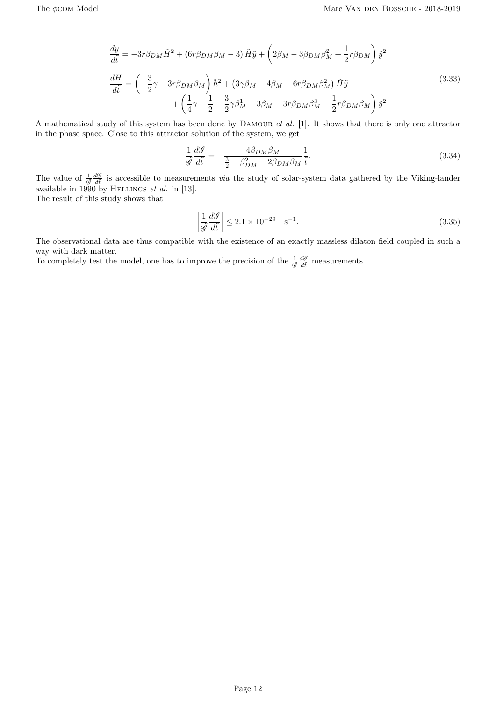$$
\frac{dy}{d\tilde{t}} = -3r\beta_{DM}\tilde{H}^2 + (6r\beta_{DM}\beta_M - 3)\tilde{H}\tilde{y} + \left(2\beta_M - 3\beta_{DM}\beta_M^2 + \frac{1}{2}r\beta_{DM}\right)\tilde{y}^2
$$
\n
$$
\frac{dH}{d\tilde{t}} = \left(-\frac{3}{2}\gamma - 3r\beta_{DM}\beta_M\right)\tilde{h}^2 + \left(3\gamma\beta_M - 4\beta_M + 6r\beta_{DM}\beta_M^2\right)\tilde{H}\tilde{y} + \left(\frac{1}{4}\gamma - \frac{1}{2} - \frac{3}{2}\gamma\beta_M^1 + 3\beta_M - 3r\beta_{DM}\beta_M^3 + \frac{1}{2}r\beta_{DM}\beta_M\right)\tilde{y}^2
$$
\n(3.33)

A mathematical study of this system has been done by Damour *et al.* [1]. It shows that there is only one attractor in the phase space. Close to this attractor solution of the system, we get

$$
\frac{1}{\tilde{\mathscr{G}}}\frac{d\mathscr{G}}{d\tilde{t}} = -\frac{4\beta_{DM}\beta_M}{\frac{3}{2} + \beta_{DM}^2 - 2\beta_{DM}\beta_M}\frac{1}{\tilde{t}}.
$$
\n(3.34)

The value of  $\frac{1}{\mathscr{G}}\frac{d\mathscr{G}}{dt}$  is accessible to measurements *via* the study of solar-system data gathered by the Viking-lander available in  $1990$  by HELLINGS *et al.* in [13].

The result of this study shows that

$$
\left| \frac{1}{\tilde{\mathscr{G}}} \frac{d\mathscr{G}}{d\tilde{t}} \right| \le 2.1 \times 10^{-29} \quad \text{s}^{-1}.
$$
\n(3.35)

The observational data are thus compatible with the existence of an exactly massless dilaton field coupled in such a way with dark matter.

To completely test the model, one has to improve the precision of the  $\frac{1}{g} \frac{d\mathscr{G}}{d\tilde{t}}$  measurements.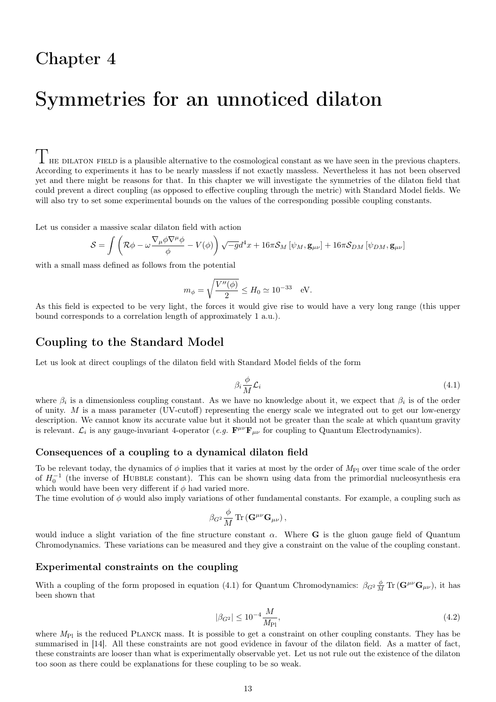## Symmetries for an unnoticed dilaton

 $\Gamma$  HE DILATON FIELD is a plausible alternative to the cosmological constant as we have seen in the previous chapters. According to experiments it has to be nearly massless if not exactly massless. Nevertheless it has not been observed yet and there might be reasons for that. In this chapter we will investigate the symmetries of the dilaton field that could prevent a direct coupling (as opposed to effective coupling through the metric) with Standard Model fields. We will also try to set some experimental bounds on the values of the corresponding possible coupling constants.

Let us consider a massive scalar dilaton field with action

$$
S = \int \left( \mathcal{R}\phi - \omega \frac{\nabla_{\mu}\phi \nabla^{\mu}\phi}{\phi} - V(\phi) \right) \sqrt{-g}d^{4}x + 16\pi \mathcal{S}_{M} \left[ \psi_{M}, \mathbf{g}_{\mu\nu} \right] + 16\pi \mathcal{S}_{DM} \left[ \psi_{DM}, \mathbf{g}_{\mu\nu} \right]
$$

with a small mass defined as follows from the potential

$$
m_{\phi} = \sqrt{\frac{V''(\phi)}{2}} \le H_0 \simeq 10^{-33} \quad \text{eV}.
$$

As this field is expected to be very light, the forces it would give rise to would have a very long range (this upper bound corresponds to a correlation length of approximately 1 a.u.).

#### Coupling to the Standard Model

Let us look at direct couplings of the dilaton field with Standard Model fields of the form

$$
\beta_i \frac{\phi}{M} \mathcal{L}_i \tag{4.1}
$$

where  $\beta_i$  is a dimensionless coupling constant. As we have no knowledge about it, we expect that  $\beta_i$  is of the order of unity. *M* is a mass parameter (UV-cutoff) representing the energy scale we integrated out to get our low-energy description. We cannot know its accurate value but it should not be greater than the scale at which quantum gravity is relevant.  $\mathcal{L}_i$  is any gauge-invariant 4-operator (*e.g.*  $\mathbf{F}^{\mu\nu}\mathbf{F}_{\mu\nu}$  for coupling to Quantum Electrodynamics).

#### Consequences of a coupling to a dynamical dilaton field

To be relevant today, the dynamics of  $\phi$  implies that it varies at most by the order of  $M_{\text{Pl}}$  over time scale of the order of  $H_0^{-1}$  (the inverse of HUBBLE constant). This can be shown using data from the primordial nucleosynthesis era which would have been very different if  $\phi$  had varied more.

The time evolution of *ϕ* would also imply variations of other fundamental constants. For example, a coupling such as

$$
\beta_{G^2} \frac{\phi}{M} \, \text{Tr} \left( \mathbf{G}^{\mu \nu} \mathbf{G}_{\mu \nu} \right),
$$

would induce a slight variation of the fine structure constant  $\alpha$ . Where **G** is the gluon gauge field of Quantum Chromodynamics. These variations can be measured and they give a constraint on the value of the coupling constant.

#### Experimental constraints on the coupling

With a coupling of the form proposed in equation (4.1) for Quantum Chromodynamics:  $\beta_{G^2} \frac{\phi}{M} \text{Tr} (\mathbf{G}^{\mu\nu} \mathbf{G}_{\mu\nu})$ , it has been shown that

$$
|\beta_{G^2}| \le 10^{-4} \frac{M}{M_{\text{Pl}}},\tag{4.2}
$$

where  $M_{\text{Pl}}$  is the reduced PLANCK mass. It is possible to get a constraint on other coupling constants. They has be summarised in [14]. All these constraints are not good evidence in favour of the dilaton field. As a matter of fact, these constraints are looser than what is experimentally observable yet. Let us not rule out the existence of the dilaton too soon as there could be explanations for these coupling to be so weak.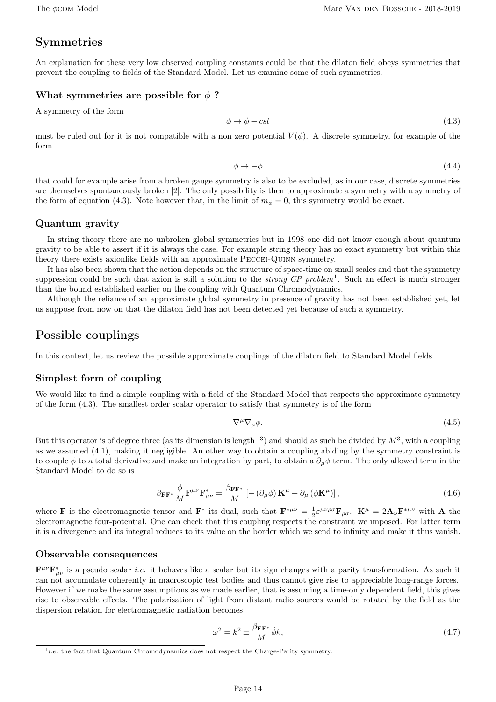#### Symmetries

An explanation for these very low observed coupling constants could be that the dilaton field obeys symmetries that prevent the coupling to fields of the Standard Model. Let us examine some of such symmetries.

#### What symmetries are possible for  $\phi$ ?

A symmetry of the form

$$
\phi \to \phi + cst \tag{4.3}
$$

must be ruled out for it is not compatible with a non zero potential  $V(\phi)$ . A discrete symmetry, for example of the form

$$
\phi \to -\phi \tag{4.4}
$$

that could for example arise from a broken gauge symmetry is also to be excluded, as in our case, discrete symmetries are themselves spontaneously broken [2]. The only possibility is then to approximate a symmetry with a symmetry of the form of equation (4.3). Note however that, in the limit of  $m<sub>\phi</sub> = 0$ , this symmetry would be exact.

#### Quantum gravity

In string theory there are no unbroken global symmetries but in 1998 one did not know enough about quantum gravity to be able to assert if it is always the case. For example string theory has no exact symmetry but within this theory there exists axionlike fields with an approximate Peccei-Quinn symmetry.

It has also been shown that the action depends on the structure of space-time on small scales and that the symmetry suppression could be such that axion is still a solution to the *strong CP problem*<sup>1</sup> . Such an effect is much stronger than the bound established earlier on the coupling with Quantum Chromodynamics.

Although the reliance of an approximate global symmetry in presence of gravity has not been established yet, let us suppose from now on that the dilaton field has not been detected yet because of such a symmetry.

#### Possible couplings

In this context, let us review the possible approximate couplings of the dilaton field to Standard Model fields.

#### Simplest form of coupling

We would like to find a simple coupling with a field of the Standard Model that respects the approximate symmetry of the form (4.3). The smallest order scalar operator to satisfy that symmetry is of the form

$$
\nabla^{\mu}\nabla_{\mu}\phi. \tag{4.5}
$$

But this operator is of degree three (as its dimension is length*−*<sup>3</sup> ) and should as such be divided by *M*<sup>3</sup> , with a coupling as we assumed (4.1), making it negligible. An other way to obtain a coupling abiding by the symmetry constraint is to couple  $\phi$  to a total derivative and make an integration by part, to obtain a  $\partial_\mu \phi$  term. The only allowed term in the Standard Model to do so is

$$
\beta_{\mathbf{F}\mathbf{F}^*} \frac{\phi}{M} \mathbf{F}^{\mu\nu} \mathbf{F}^*_{\mu\nu} = \frac{\beta_{\mathbf{F}\mathbf{F}^*}}{M} \left[ - (\partial_\mu \phi) \mathbf{K}^\mu + \partial_\mu \left( \phi \mathbf{K}^\mu \right) \right],\tag{4.6}
$$

where **F** is the electromagnetic tensor and **F**<sup>\*</sup> its dual, such that  $\mathbf{F}^{*\mu\nu} = \frac{1}{2} \varepsilon^{\mu\nu\rho\sigma} \mathbf{F}_{\rho\sigma}$ .  $\mathbf{K}^{\mu} = 2\mathbf{A}_{\nu} \mathbf{F}^{*\mu\nu}$  with **A** the electromagnetic four-potential. One can check that this coupling respects the constraint we imposed. For latter term it is a divergence and its integral reduces to its value on the border which we send to infinity and make it thus vanish.

#### Observable consequences

 $\mathbf{F}^{\mu\nu}\mathbf{F}^*_{\mu\nu}$  is a pseudo scalar *i.e.* it behaves like a scalar but its sign changes with a parity transformation. As such it can not accumulate coherently in macroscopic test bodies and thus cannot give rise to appreciable long-range forces. However if we make the same assumptions as we made earlier, that is assuming a time-only dependent field, this gives rise to observable effects. The polarisation of light from distant radio sources would be rotated by the field as the dispersion relation for electromagnetic radiation becomes

$$
\omega^2 = k^2 \pm \frac{\beta_{\mathbf{FF}^*}}{M} \dot{\phi} k,\tag{4.7}
$$

<sup>&</sup>lt;sup>1</sup>*i.e.* the fact that Quantum Chromodynamics does not respect the Charge-Parity symmetry.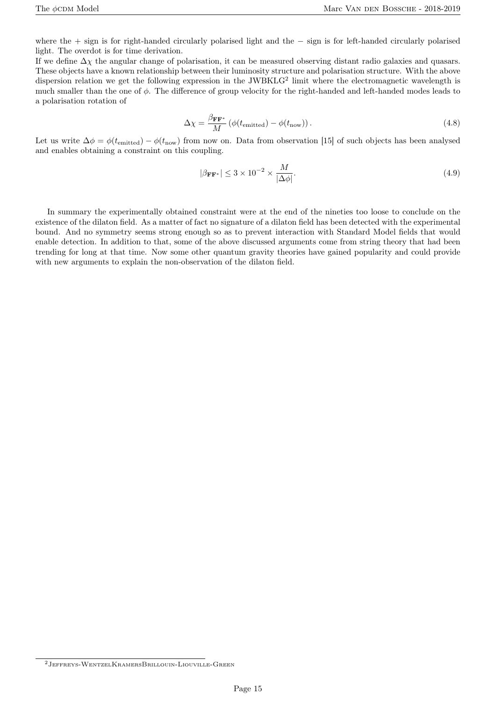where the + sign is for right-handed circularly polarised light and the *−* sign is for left-handed circularly polarised light. The overdot is for time derivation.

If we define ∆*χ* the angular change of polarisation, it can be measured observing distant radio galaxies and quasars. These objects have a known relationship between their luminosity structure and polarisation structure. With the above dispersion relation we get the following expression in the JWBKLG<sup>2</sup> limit where the electromagnetic wavelength is much smaller than the one of *ϕ*. The difference of group velocity for the right-handed and left-handed modes leads to a polarisation rotation of

$$
\Delta \chi = \frac{\beta_{\mathbf{FF}^*}}{M} \left( \phi(t_{\text{emitted}}) - \phi(t_{\text{now}}) \right). \tag{4.8}
$$

Let us write  $\Delta \phi = \phi(t_{\text{emitted}}) - \phi(t_{\text{now}})$  from now on. Data from observation [15] of such objects has been analysed and enables obtaining a constraint on this coupling.

$$
|\beta_{\mathbf{FF}^*}| \le 3 \times 10^{-2} \times \frac{M}{|\Delta \phi|}.\tag{4.9}
$$

In summary the experimentally obtained constraint were at the end of the nineties too loose to conclude on the existence of the dilaton field. As a matter of fact no signature of a dilaton field has been detected with the experimental bound. And no symmetry seems strong enough so as to prevent interaction with Standard Model fields that would enable detection. In addition to that, some of the above discussed arguments come from string theory that had been trending for long at that time. Now some other quantum gravity theories have gained popularity and could provide with new arguments to explain the non-observation of the dilaton field.

<sup>2</sup>Jeffreys-WentzelKramersBrillouin-Liouville-Green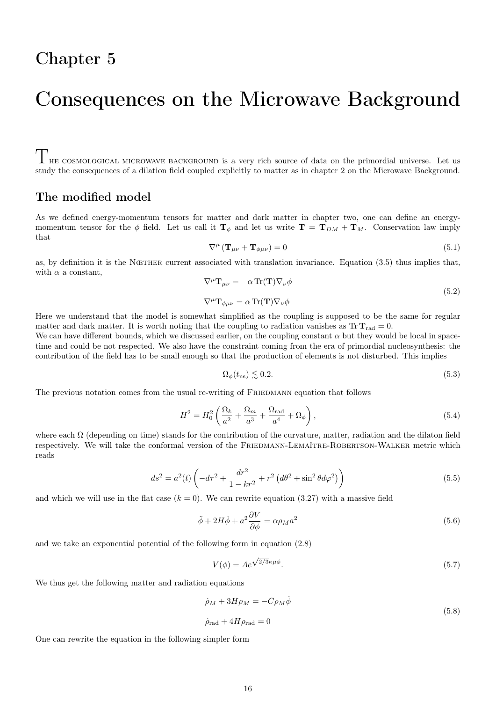## Consequences on the Microwave Background

 $\Gamma$ <sup>h</sup>HE COSMOLOGICAL MICROWAVE BACKGROUND is a very rich source of data on the primordial universe. Let us study the consequences of a dilation field coupled explicitly to matter as in chapter 2 on the Microwave Background.

#### The modified model

As we defined energy-momentum tensors for matter and dark matter in chapter two, one can define an energymomentum tensor for the  $\phi$  field. Let us call it  $\mathbf{T}_{\phi}$  and let us write  $\mathbf{T} = \mathbf{T}_{DM} + \mathbf{T}_{M}$ . Conservation law imply that

$$
\nabla^{\mu} \left( \mathbf{T}_{\mu \nu} + \mathbf{T}_{\phi \mu \nu} \right) = 0 \tag{5.1}
$$

as, by definition it is the NœTHER current associated with translation invariance. Equation (3.5) thus implies that, with  $\alpha$  a constant,

$$
\nabla^{\mu} \mathbf{T}_{\mu \nu} = -\alpha \operatorname{Tr}(\mathbf{T}) \nabla_{\nu} \phi \tag{5.2}
$$

$$
\nabla^{\mu}\mathbf{T}_{\phi\mu\nu}=\alpha\mathop{\mathrm{Tr}}\nolimits(\mathbf{T})\nabla_{\nu}\phi
$$

Here we understand that the model is somewhat simplified as the coupling is supposed to be the same for regular matter and dark matter. It is worth noting that the coupling to radiation vanishes as  $Tr T_{rad} = 0$ .

We can have different bounds, which we discussed earlier, on the coupling constant  $\alpha$  but they would be local in spacetime and could be not respected. We also have the constraint coming from the era of primordial nucleosynthesis: the contribution of the field has to be small enough so that the production of elements is not disturbed. This implies

$$
\Omega_{\phi}(t_{\rm ns}) \lesssim 0.2. \tag{5.3}
$$

The previous notation comes from the usual re-writing of FRIEDMANN equation that follows

$$
H^2 = H_0^2 \left( \frac{\Omega_k}{a^2} + \frac{\Omega_m}{a^3} + \frac{\Omega_{\text{rad}}}{a^4} + \Omega_\phi \right),\tag{5.4}
$$

where each  $\Omega$  (depending on time) stands for the contribution of the curvature, matter, radiation and the dilaton field respectively. We will take the conformal version of the FRIEDMANN-LEMAÎTRE-ROBERTSON-WALKER metric which reads

$$
ds^{2} = a^{2}(t)\left(-d\tau^{2} + \frac{dr^{2}}{1 - kr^{2}} + r^{2}\left(d\theta^{2} + \sin^{2}\theta d\varphi^{2}\right)\right)
$$
(5.5)

and which we will use in the flat case  $(k = 0)$ . We can rewrite equation  $(3.27)$  with a massive field

$$
\ddot{\phi} + 2H\dot{\phi} + a^2 \frac{\partial V}{\partial \phi} = \alpha \rho_M a^2 \tag{5.6}
$$

and we take an exponential potential of the following form in equation (2.8)

$$
V(\phi) = Ae^{\sqrt{2/3}\kappa\mu\phi}.\tag{5.7}
$$

We thus get the following matter and radiation equations

$$
\dot{\rho}_M + 3H\rho_M = -C\rho_M \dot{\phi}
$$
  

$$
\dot{\rho}_{\rm rad} + 4H\rho_{\rm rad} = 0
$$
\n(5.8)

One can rewrite the equation in the following simpler form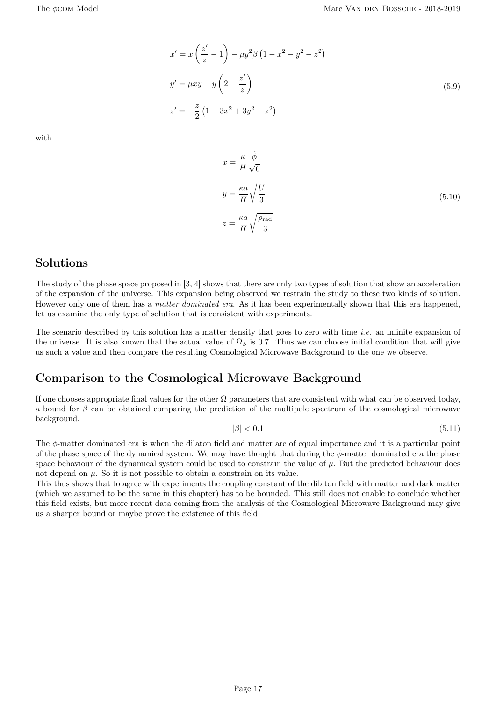$$
x' = x\left(\frac{z'}{z} - 1\right) - \mu y^2 \beta \left(1 - x^2 - y^2 - z^2\right)
$$
  
\n
$$
y' = \mu xy + y\left(2 + \frac{z'}{z}\right)
$$
  
\n
$$
z' = -\frac{z}{2}\left(1 - 3x^2 + 3y^2 - z^2\right)
$$
\n(5.9)

with

$$
x = \frac{\kappa}{H} \frac{\dot{\phi}}{\sqrt{6}}
$$
  

$$
y = \frac{\kappa a}{H} \sqrt{\frac{U}{3}}
$$
  

$$
z = \frac{\kappa a}{H} \sqrt{\frac{\rho_{\text{rad}}}{3}}
$$
 (5.10)

#### Solutions

The study of the phase space proposed in [3, 4] shows that there are only two types of solution that show an acceleration of the expansion of the universe. This expansion being observed we restrain the study to these two kinds of solution. However only one of them has a *matter dominated era*. As it has been experimentally shown that this era happened, let us examine the only type of solution that is consistent with experiments.

The scenario described by this solution has a matter density that goes to zero with time *i.e.* an infinite expansion of the universe. It is also known that the actual value of  $\Omega_{\phi}$  is 0.7. Thus we can choose initial condition that will give us such a value and then compare the resulting Cosmological Microwave Background to the one we observe.

#### Comparison to the Cosmological Microwave Background

If one chooses appropriate final values for the other  $\Omega$  parameters that are consistent with what can be observed today, a bound for  $\beta$  can be obtained comparing the prediction of the multipole spectrum of the cosmological microwave background.

$$
|\beta| < 0.1 \tag{5.11}
$$

The *ϕ*-matter dominated era is when the dilaton field and matter are of equal importance and it is a particular point of the phase space of the dynamical system. We may have thought that during the *ϕ*-matter dominated era the phase space behaviour of the dynamical system could be used to constrain the value of  $\mu$ . But the predicted behaviour does not depend on  $\mu$ . So it is not possible to obtain a constrain on its value.

This thus shows that to agree with experiments the coupling constant of the dilaton field with matter and dark matter (which we assumed to be the same in this chapter) has to be bounded. This still does not enable to conclude whether this field exists, but more recent data coming from the analysis of the Cosmological Microwave Background may give us a sharper bound or maybe prove the existence of this field.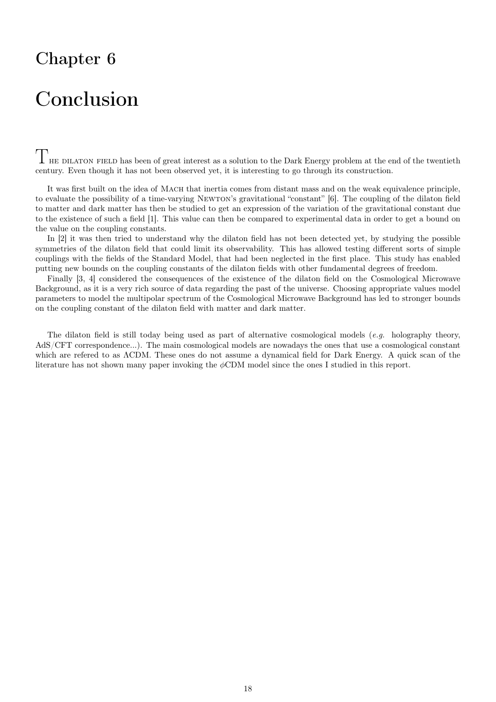## Conclusion

 $T$ <sub>HE</sub> DILATON FIELD has been of great interest as a solution to the Dark Energy problem at the end of the twentieth century. Even though it has not been observed yet, it is interesting to go through its construction.

It was first built on the idea of MACH that inertia comes from distant mass and on the weak equivalence principle, to evaluate the possibility of a time-varying Newton's gravitational "constant" [6]. The coupling of the dilaton field to matter and dark matter has then be studied to get an expression of the variation of the gravitational constant due to the existence of such a field [1]. This value can then be compared to experimental data in order to get a bound on the value on the coupling constants.

In [2] it was then tried to understand why the dilaton field has not been detected yet, by studying the possible symmetries of the dilaton field that could limit its observability. This has allowed testing different sorts of simple couplings with the fields of the Standard Model, that had been neglected in the first place. This study has enabled putting new bounds on the coupling constants of the dilaton fields with other fundamental degrees of freedom.

Finally [3, 4] considered the consequences of the existence of the dilaton field on the Cosmological Microwave Background, as it is a very rich source of data regarding the past of the universe. Choosing appropriate values model parameters to model the multipolar spectrum of the Cosmological Microwave Background has led to stronger bounds on the coupling constant of the dilaton field with matter and dark matter.

The dilaton field is still today being used as part of alternative cosmological models (*e.g.* holography theory, AdS/CFT correspondence...). The main cosmological models are nowadays the ones that use a cosmological constant which are refered to as ΛCDM. These ones do not assume a dynamical field for Dark Energy. A quick scan of the literature has not shown many paper invoking the *ϕ*CDM model since the ones I studied in this report.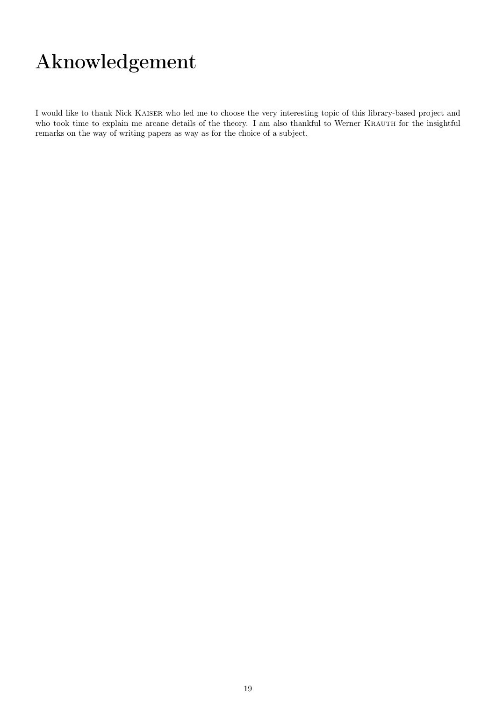# Aknowledgement

I would like to thank Nick Kaiser who led me to choose the very interesting topic of this library-based project and who took time to explain me arcane details of the theory. I am also thankful to Werner KRAUTH for the insightful remarks on the way of writing papers as way as for the choice of a subject.